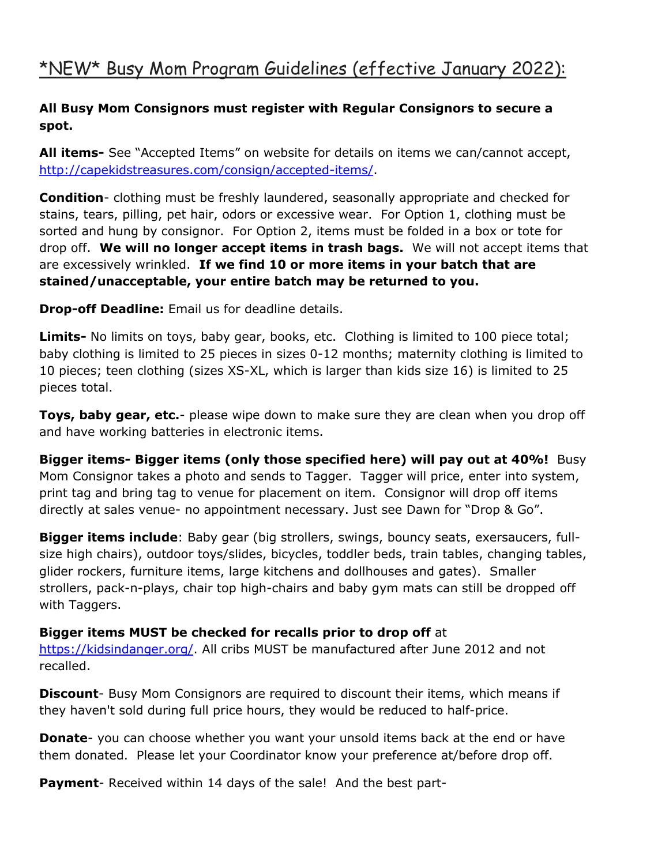#### **All Busy Mom Consignors must register with Regular Consignors to secure a spot.**

**All items-** See "Accepted Items" on website for details on items we can/cannot accept, [http://capekidstreasures.com/consign/accepted-items/.](http://capekidstreasures.com/consign/accepted-items/)

**Condition**- clothing must be freshly laundered, seasonally appropriate and checked for stains, tears, pilling, pet hair, odors or excessive wear. For Option 1, clothing must be sorted and hung by consignor. For Option 2, items must be folded in a box or tote for drop off. **We will no longer accept items in trash bags.** We will not accept items that are excessively wrinkled. **If we find 10 or more items in your batch that are stained/unacceptable, your entire batch may be returned to you.**

**Drop-off Deadline:** Email us for deadline details.

**Limits-** No limits on toys, baby gear, books, etc.Clothing is limited to 100 piece total; baby clothing is limited to 25 pieces in sizes 0-12 months; maternity clothing is limited to 10 pieces; teen clothing (sizes XS-XL, which is larger than kids size 16) is limited to 25 pieces total.

**Toys, baby gear, etc.**- please wipe down to make sure they are clean when you drop off and have working batteries in electronic items.

**Bigger items- Bigger items (only those specified here) will pay out at 40%!** Busy Mom Consignor takes a photo and sends to Tagger. Tagger will price, enter into system, print tag and bring tag to venue for placement on item. Consignor will drop off items directly at sales venue- no appointment necessary. Just see Dawn for "Drop & Go".

**Bigger items include**: Baby gear (big strollers, swings, bouncy seats, exersaucers, fullsize high chairs), outdoor toys/slides, bicycles, toddler beds, train tables, changing tables, glider rockers, furniture items, large kitchens and dollhouses and gates). Smaller strollers, pack-n-plays, chair top high-chairs and baby gym mats can still be dropped off with Taggers.

#### **Bigger items MUST be checked for recalls prior to drop off** at

[https://kidsindanger.org/.](https://kidsindanger.org/) All cribs MUST be manufactured after June 2012 and not recalled.

**Discount**- Busy Mom Consignors are required to discount their items, which means if they haven't sold during full price hours, they would be reduced to half-price.

**Donate**- you can choose whether you want your unsold items back at the end or have them donated. Please let your Coordinator know your preference at/before drop off.

**Payment**- Received within 14 days of the sale! And the best part-